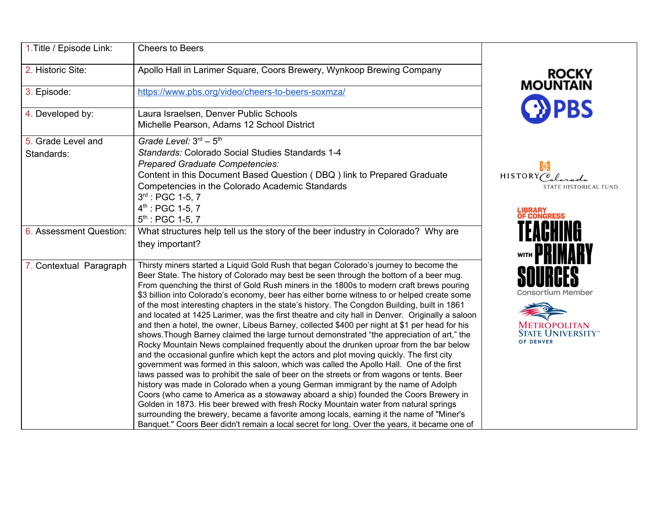| 1. Title / Episode Link:         | <b>Cheers to Beers</b>                                                                                                                                                                                                                                                                                                                                                                                                                                                                                                                                                                                                                                                                                                                                                                                                                                                                                                                                                                                                                                                                                                                                                                                                                                                                                                                                                                                                                                                                                                                                                                                                     |                                                                                                       |
|----------------------------------|----------------------------------------------------------------------------------------------------------------------------------------------------------------------------------------------------------------------------------------------------------------------------------------------------------------------------------------------------------------------------------------------------------------------------------------------------------------------------------------------------------------------------------------------------------------------------------------------------------------------------------------------------------------------------------------------------------------------------------------------------------------------------------------------------------------------------------------------------------------------------------------------------------------------------------------------------------------------------------------------------------------------------------------------------------------------------------------------------------------------------------------------------------------------------------------------------------------------------------------------------------------------------------------------------------------------------------------------------------------------------------------------------------------------------------------------------------------------------------------------------------------------------------------------------------------------------------------------------------------------------|-------------------------------------------------------------------------------------------------------|
| 2. Historic Site:                | Apollo Hall in Larimer Square, Coors Brewery, Wynkoop Brewing Company                                                                                                                                                                                                                                                                                                                                                                                                                                                                                                                                                                                                                                                                                                                                                                                                                                                                                                                                                                                                                                                                                                                                                                                                                                                                                                                                                                                                                                                                                                                                                      | ROCKY<br>MOUNTAIN                                                                                     |
| 3. Episode:                      | https://www.pbs.org/video/cheers-to-beers-soxmzal                                                                                                                                                                                                                                                                                                                                                                                                                                                                                                                                                                                                                                                                                                                                                                                                                                                                                                                                                                                                                                                                                                                                                                                                                                                                                                                                                                                                                                                                                                                                                                          |                                                                                                       |
| 4. Developed by:                 | Laura Israelsen, Denver Public Schools<br>Michelle Pearson, Adams 12 School District                                                                                                                                                                                                                                                                                                                                                                                                                                                                                                                                                                                                                                                                                                                                                                                                                                                                                                                                                                                                                                                                                                                                                                                                                                                                                                                                                                                                                                                                                                                                       | $\mathbf{P}$ PBS                                                                                      |
| 5. Grade Level and<br>Standards: | Grade Level: $3rd - 5th$<br>Standards: Colorado Social Studies Standards 1-4<br><b>Prepared Graduate Competencies:</b><br>Content in this Document Based Question (DBQ) link to Prepared Graduate<br>Competencies in the Colorado Academic Standards<br>$3^{rd}$ : PGC 1-5, 7<br>$4^{th}$ : PGC 1-5, 7<br>$5^{th}$ : PGC 1-5, 7                                                                                                                                                                                                                                                                                                                                                                                                                                                                                                                                                                                                                                                                                                                                                                                                                                                                                                                                                                                                                                                                                                                                                                                                                                                                                            | 涤<br>HISTORY Colorado<br>STATE HISTORICAL FUND<br><b>LIBRARY<br/>OF CONGRESS</b>                      |
| 6. Assessment Question:          | What structures help tell us the story of the beer industry in Colorado? Why are<br>they important?                                                                                                                                                                                                                                                                                                                                                                                                                                                                                                                                                                                                                                                                                                                                                                                                                                                                                                                                                                                                                                                                                                                                                                                                                                                                                                                                                                                                                                                                                                                        | WITH                                                                                                  |
| 7. Contextual Paragraph          | Thirsty miners started a Liquid Gold Rush that began Colorado's journey to become the<br>Beer State. The history of Colorado may best be seen through the bottom of a beer mug.<br>From quenching the thirst of Gold Rush miners in the 1800s to modern craft brews pouring<br>\$3 billion into Colorado's economy, beer has either borne witness to or helped create some<br>of the most interesting chapters in the state's history. The Congdon Building, built in 1861<br>and located at 1425 Larimer, was the first theatre and city hall in Denver. Originally a saloon<br>and then a hotel, the owner, Libeus Barney, collected \$400 per night at \$1 per head for his<br>shows. Though Barney claimed the large turnout demonstrated "the appreciation of art," the<br>Rocky Mountain News complained frequently about the drunken uproar from the bar below<br>and the occasional gunfire which kept the actors and plot moving quickly. The first city<br>government was formed in this saloon, which was called the Apollo Hall. One of the first<br>laws passed was to prohibit the sale of beer on the streets or from wagons or tents. Beer<br>history was made in Colorado when a young German immigrant by the name of Adolph<br>Coors (who came to America as a stowaway aboard a ship) founded the Coors Brewery in<br>Golden in 1873. His beer brewed with fresh Rocky Mountain water from natural springs<br>surrounding the brewery, became a favorite among locals, earning it the name of "Miner's<br>Banquet." Coors Beer didn't remain a local secret for long. Over the years, it became one of | <b>Consortium Member</b><br><b>METROPOLITAN</b><br><b>STATE UNIVERSITY</b> <sup>**</sup><br>OF DENVER |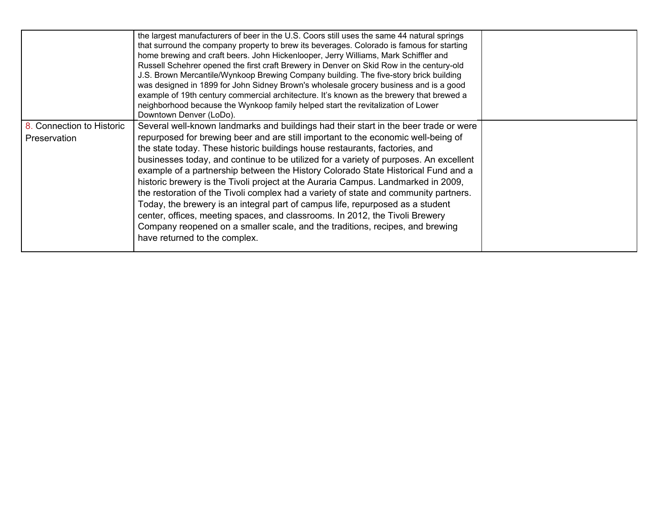|                                           | the largest manufacturers of beer in the U.S. Coors still uses the same 44 natural springs<br>that surround the company property to brew its beverages. Colorado is famous for starting<br>home brewing and craft beers. John Hickenlooper, Jerry Williams, Mark Schiffler and<br>Russell Schehrer opened the first craft Brewery in Denver on Skid Row in the century-old<br>J.S. Brown Mercantile/Wynkoop Brewing Company building. The five-story brick building<br>was designed in 1899 for John Sidney Brown's wholesale grocery business and is a good<br>example of 19th century commercial architecture. It's known as the brewery that brewed a<br>neighborhood because the Wynkoop family helped start the revitalization of Lower<br>Downtown Denver (LoDo).                                                                                                                                 |  |
|-------------------------------------------|---------------------------------------------------------------------------------------------------------------------------------------------------------------------------------------------------------------------------------------------------------------------------------------------------------------------------------------------------------------------------------------------------------------------------------------------------------------------------------------------------------------------------------------------------------------------------------------------------------------------------------------------------------------------------------------------------------------------------------------------------------------------------------------------------------------------------------------------------------------------------------------------------------|--|
| 8. Connection to Historic<br>Preservation | Several well-known landmarks and buildings had their start in the beer trade or were<br>repurposed for brewing beer and are still important to the economic well-being of<br>the state today. These historic buildings house restaurants, factories, and<br>businesses today, and continue to be utilized for a variety of purposes. An excellent<br>example of a partnership between the History Colorado State Historical Fund and a<br>historic brewery is the Tivoli project at the Auraria Campus. Landmarked in 2009,<br>the restoration of the Tivoli complex had a variety of state and community partners.<br>Today, the brewery is an integral part of campus life, repurposed as a student<br>center, offices, meeting spaces, and classrooms. In 2012, the Tivoli Brewery<br>Company reopened on a smaller scale, and the traditions, recipes, and brewing<br>have returned to the complex. |  |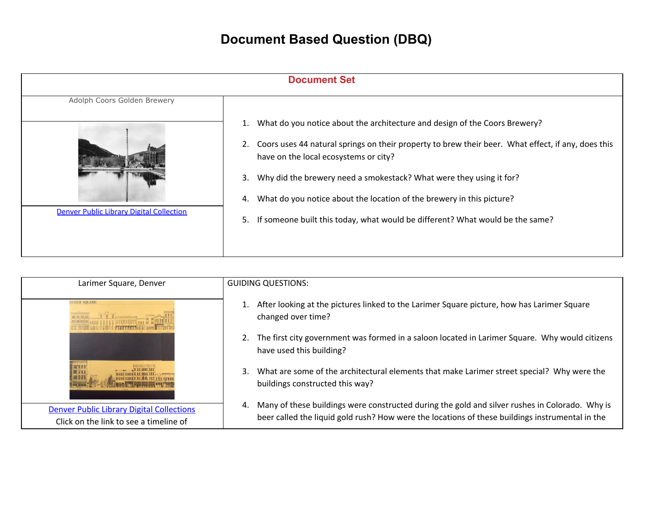## **Document Based Question (DBQ)**

| <b>Document Set</b>                             |                                                                                                                                                   |  |
|-------------------------------------------------|---------------------------------------------------------------------------------------------------------------------------------------------------|--|
| Adolph Coors Golden Brewery                     |                                                                                                                                                   |  |
|                                                 | What do you notice about the architecture and design of the Coors Brewery?<br>1.                                                                  |  |
|                                                 | Coors uses 44 natural springs on their property to brew their beer. What effect, if any, does this<br>2.<br>have on the local ecosystems or city? |  |
|                                                 | Why did the brewery need a smokestack? What were they using it for?<br>3.                                                                         |  |
|                                                 | What do you notice about the location of the brewery in this picture?<br>4.                                                                       |  |
| <b>Denver Public Library Digital Collection</b> | If someone built this today, what would be different? What would be the same?<br>5.                                                               |  |

| Larimer Square, Denver                                                                     | <b>GUIDING QUESTIONS:</b>                                                                                                                                                                               |
|--------------------------------------------------------------------------------------------|---------------------------------------------------------------------------------------------------------------------------------------------------------------------------------------------------------|
| <b>IMER SQUARE</b>                                                                         | 1. After looking at the pictures linked to the Larimer Square picture, how has Larimer Square<br>changed over time?                                                                                     |
|                                                                                            | 2. The first city government was formed in a saloon located in Larimer Square. Why would citizens<br>have used this building?                                                                           |
|                                                                                            | What are some of the architectural elements that make Larimer street special? Why were the<br>3.<br>buildings constructed this way?                                                                     |
| <b>Denver Public Library Digital Collections</b><br>Click on the link to see a timeline of | Many of these buildings were constructed during the gold and silver rushes in Colorado. Why is<br>4.<br>beer called the liquid gold rush? How were the locations of these buildings instrumental in the |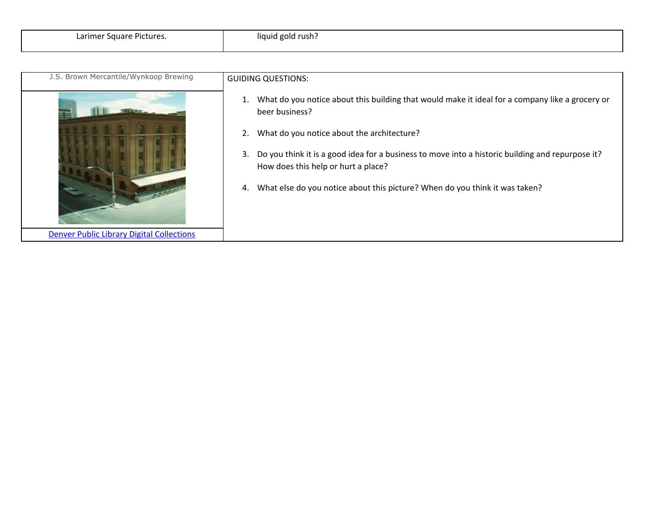| J.S. Brown Mercantile/Wynkoop Brewing            | <b>GUIDING QUESTIONS:</b>                                                                                                                     |
|--------------------------------------------------|-----------------------------------------------------------------------------------------------------------------------------------------------|
|                                                  | What do you notice about this building that would make it ideal for a company like a grocery or<br>1.<br>beer business?                       |
|                                                  | What do you notice about the architecture?<br>2.                                                                                              |
|                                                  | Do you think it is a good idea for a business to move into a historic building and repurpose it?<br>3.<br>How does this help or hurt a place? |
|                                                  | What else do you notice about this picture? When do you think it was taken?<br>4.                                                             |
| <b>Denver Public Library Digital Collections</b> |                                                                                                                                               |